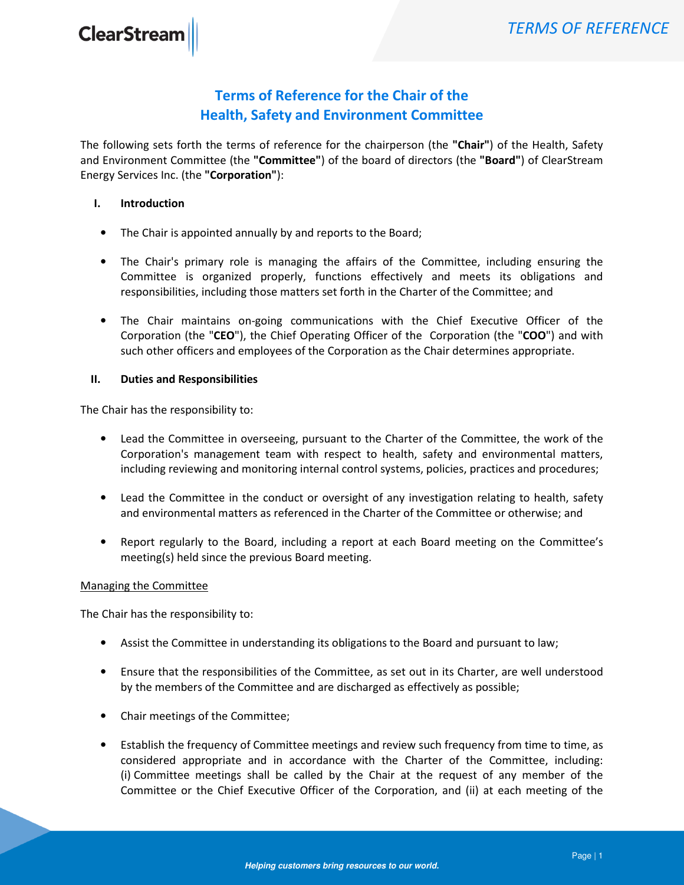## Terms of Reference for the Chair of the Health, Safety and Environment Committee

The following sets forth the terms of reference for the chairperson (the "Chair") of the Health, Safety and Environment Committee (the "Committee") of the board of directors (the "Board") of ClearStream Energy Services Inc. (the "Corporation"):

## I. Introduction

- The Chair is appointed annually by and reports to the Board;
- The Chair's primary role is managing the affairs of the Committee, including ensuring the Committee is organized properly, functions effectively and meets its obligations and responsibilities, including those matters set forth in the Charter of the Committee; and
- The Chair maintains on-going communications with the Chief Executive Officer of the Corporation (the "CEO"), the Chief Operating Officer of the Corporation (the "COO") and with such other officers and employees of the Corporation as the Chair determines appropriate.

## II. Duties and Responsibilities

The Chair has the responsibility to:

- Lead the Committee in overseeing, pursuant to the Charter of the Committee, the work of the Corporation's management team with respect to health, safety and environmental matters, including reviewing and monitoring internal control systems, policies, practices and procedures;
- Lead the Committee in the conduct or oversight of any investigation relating to health, safety and environmental matters as referenced in the Charter of the Committee or otherwise; and
- Report regularly to the Board, including a report at each Board meeting on the Committee's meeting(s) held since the previous Board meeting.

## Managing the Committee

The Chair has the responsibility to:

- Assist the Committee in understanding its obligations to the Board and pursuant to law;
- Ensure that the responsibilities of the Committee, as set out in its Charter, are well understood by the members of the Committee and are discharged as effectively as possible;
- Chair meetings of the Committee;
- Establish the frequency of Committee meetings and review such frequency from time to time, as considered appropriate and in accordance with the Charter of the Committee, including: (i) Committee meetings shall be called by the Chair at the request of any member of the Committee or the Chief Executive Officer of the Corporation, and (ii) at each meeting of the